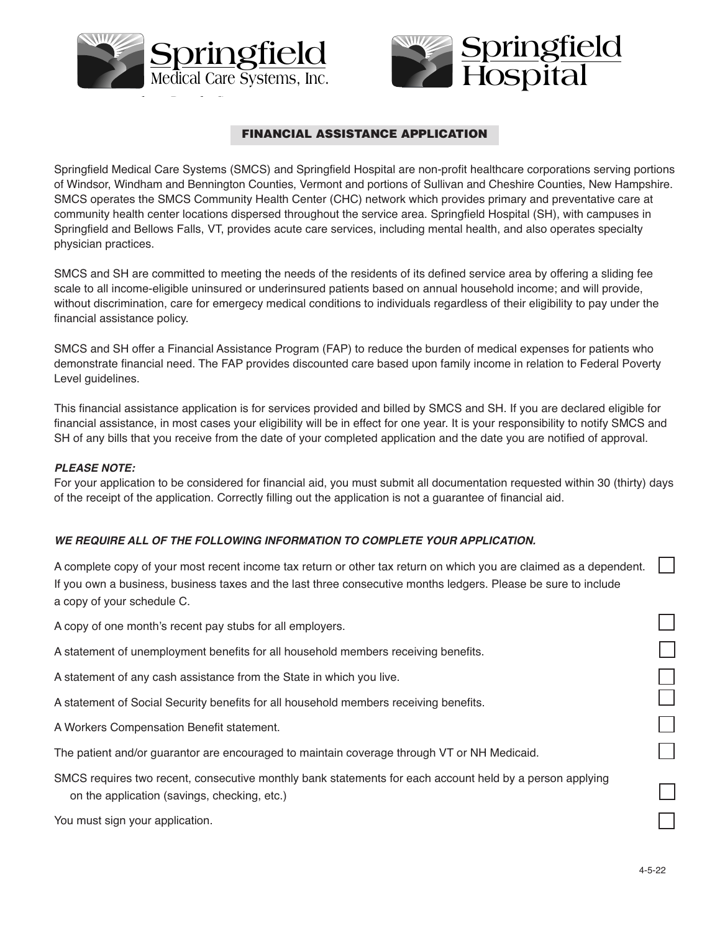



# **FINANCIAL ASSISTANCE APPLICATION**

Springfield Medical Care Systems (SMCS) and Springfield Hospital are non-profit healthcare corporations serving portions of Windsor, Windham and Bennington Counties, Vermont and portions of Sullivan and Cheshire Counties, New Hampshire. SMCS operates the SMCS Community Health Center (CHC) network which provides primary and preventative care at community health center locations dispersed throughout the service area. Springfield Hospital (SH), with campuses in Springfield and Bellows Falls, VT, provides acute care services, including mental health, and also operates specialty physician practices.

SMCS and SH are committed to meeting the needs of the residents of its defined service area by offering a sliding fee scale to all income-eligible uninsured or underinsured patients based on annual household income; and will provide, without discrimination, care for emergecy medical conditions to individuals regardless of their eligibility to pay under the financial assistance policy.

SMCS and SH offer a Financial Assistance Program (FAP) to reduce the burden of medical expenses for patients who demonstrate financial need. The FAP provides discounted care based upon family income in relation to Federal Poverty Level guidelines.

This financial assistance application is for services provided and billed by SMCS and SH. If you are declared eligible for financial assistance, in most cases your eligibility will be in effect for one year. It is your responsibility to notify SMCS and SH of any bills that you receive from the date of your completed application and the date you are notified of approval.

## *PLEASE NOTE:*

For your application to be considered for financial aid, you must submit all documentation requested within 30 (thirty) days of the receipt of the application. Correctly filling out the application is not a guarantee of financial aid.

# *WE REQUIRE ALL OF THE FOLLOWING INFORMATION TO COMPLETE YOUR APPLICATION.*

A complete copy of your most recent income tax return or other tax return on which you are claimed as a dependent. If you own a business, business taxes and the last three consecutive months ledgers. Please be sure to include a copy of your schedule C.

A copy of one month's recent pay stubs for all employers.

- A statement of unemployment benefits for all household members receiving benefits.
- A statement of any cash assistance from the State in which you live.

A statement of Social Security benefits for all household members receiving benefits.

A Workers Compensation Benefit statement.

The patient and/or guarantor are encouraged to maintain coverage through VT or NH Medicaid.

SMCS requires two recent, consecutive monthly bank statements for each account held by a person applying on the application (savings, checking, etc.)

You must sign your application.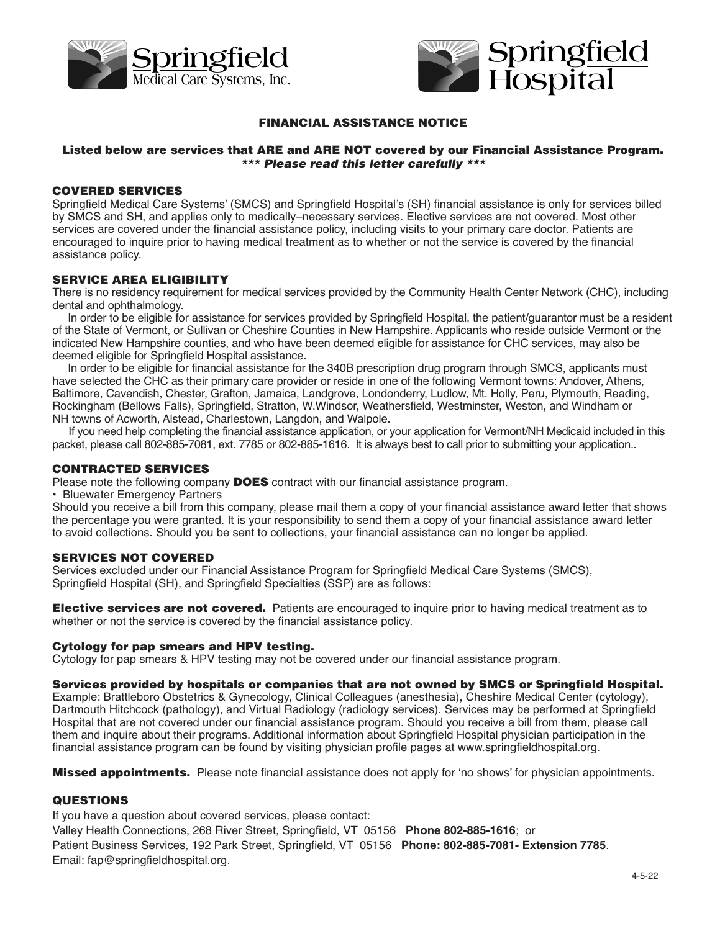



# **FINANCIAL ASSISTANCE NOTICE**

# **Listed below are services that ARE and ARE NOT covered by our Financial Assistance Program. \*\*\* Please read this letter carefully \*\*\***

### **COVERED SERVICES**

Springfield Medical Care Systems' (SMCS) and Springfield Hospital's (SH) financial assistance is only for services billed by SMCS and SH, and applies only to medically–necessary services. Elective services are not covered. Most other services are covered under the financial assistance policy, including visits to your primary care doctor. Patients are encouraged to inquire prior to having medical treatment as to whether or not the service is covered by the financial assistance policy.

# **SERVICE AREA ELIGIBILITY**

There is no residency requirement for medical services provided by the Community Health Center Network (CHC), including dental and ophthalmology.

 In order to be eligible for assistance for services provided by Springfield Hospital, the patient/guarantor must be a resident of the State of Vermont, or Sullivan or Cheshire Counties in New Hampshire. Applicants who reside outside Vermont or the indicated New Hampshire counties, and who have been deemed eligible for assistance for CHC services, may also be deemed eligible for Springfield Hospital assistance.

 In order to be eligible for financial assistance for the 340B prescription drug program through SMCS, applicants must have selected the CHC as their primary care provider or reside in one of the following Vermont towns: Andover, Athens, Baltimore, Cavendish, Chester, Grafton, Jamaica, Landgrove, Londonderry, Ludlow, Mt. Holly, Peru, Plymouth, Reading, Rockingham (Bellows Falls), Springfield, Stratton, W.Windsor, Weathersfield, Westminster, Weston, and Windham or NH towns of Acworth, Alstead, Charlestown, Langdon, and Walpole.

 If you need help completing the financial assistance application, or your application for Vermont/NH Medicaid included in this packet, please call 802-885-7081, ext. 7785 or 802-885-1616. It is always best to call prior to submitting your application..

#### **CONTRACTED SERVICES**

Please note the following company **DOES** contract with our financial assistance program.

• Bluewater Emergency Partners

Should you receive a bill from this company, please mail them a copy of your financial assistance award letter that shows the percentage you were granted. It is your responsibility to send them a copy of your financial assistance award letter to avoid collections. Should you be sent to collections, your financial assistance can no longer be applied.

# **SERVICES NOT COVERED**

Services excluded under our Financial Assistance Program for Springfield Medical Care Systems (SMCS), Springfield Hospital (SH), and Springfield Specialties (SSP) are as follows:

**Elective services are not covered.** Patients are encouraged to inquire prior to having medical treatment as to whether or not the service is covered by the financial assistance policy.

#### **Cytology for pap smears and HPV testing.**

Cytology for pap smears & HPV testing may not be covered under our financial assistance program.

#### **Services provided by hospitals or companies that are not owned by SMCS or Springfield Hospital.**

Example: Brattleboro Obstetrics & Gynecology, Clinical Colleagues (anesthesia), Cheshire Medical Center (cytology), Dartmouth Hitchcock (pathology), and Virtual Radiology (radiology services). Services may be performed at Springfield Hospital that are not covered under our financial assistance program. Should you receive a bill from them, please call them and inquire about their programs. Additional information about Springfield Hospital physician participation in the financial assistance program can be found by visiting physician profile pages at www.springfieldhospital.org.

**Missed appointments.** Please note financial assistance does not apply for 'no shows' for physician appointments.

# **QUESTIONS**

If you have a question about covered services, please contact:

Valley Health Connections, 268 River Street, Springfield, VT 05156 **Phone 802-885-1616**; or Patient Business Services, 192 Park Street, Springfield, VT 05156 **Phone: 802-885-7081- Extension 7785**. Email: fap@springfieldhospital.org.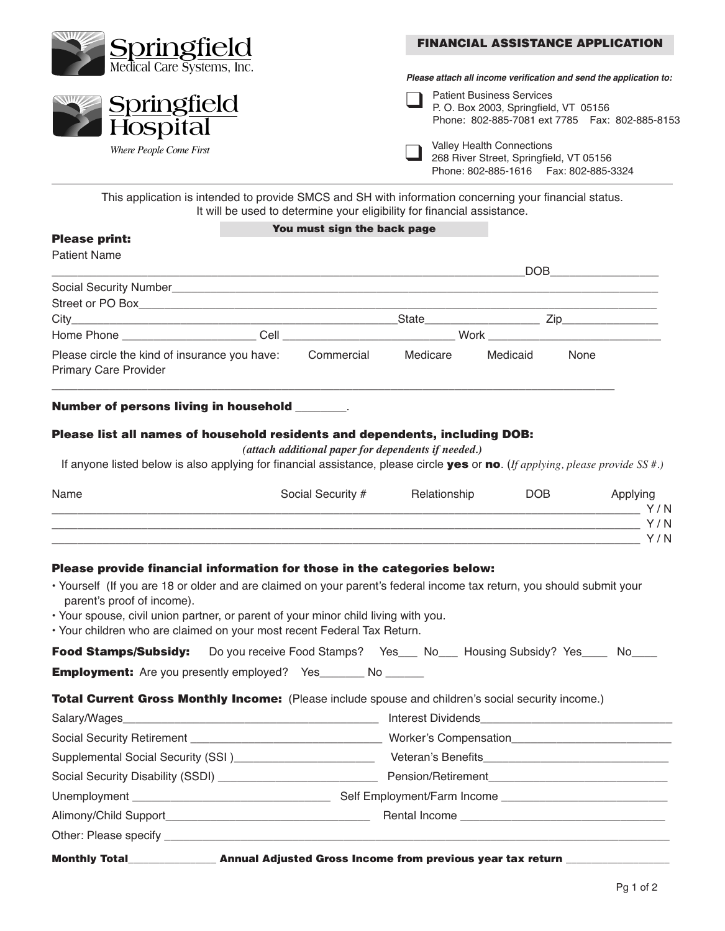| <b>Springfield</b>         | <b>FINANCIAL ASSISTANCE APPLICATION</b>                                                                                       |  |  |  |
|----------------------------|-------------------------------------------------------------------------------------------------------------------------------|--|--|--|
| Medical Care Systems, Inc. | Please attach all income verification and send the application to:                                                            |  |  |  |
| Springfield<br>Hospital    | <b>Patient Business Services</b><br>P.O. Box 2003, Springfield, VT 05156<br>Phone: 802-885-7081 ext 7785    Fax: 802-885-8153 |  |  |  |
| Where People Come First    | Valley Health Connections<br>268 River Street, Springfield, VT 05156<br>Phone: 802-885-1616    Fax: 802-885-3324              |  |  |  |

This application is intended to provide SMCS and SH with information concerning your financial status. It will be used to determine your eligibility for financial assistance.

#### **You must sign the back page**

# **Please print:**

|                                                                               |      |            |                    | DOB      |      |
|-------------------------------------------------------------------------------|------|------------|--------------------|----------|------|
| Social Security Number                                                        |      |            |                    |          |      |
|                                                                               |      |            |                    |          |      |
|                                                                               |      |            | <b>State State</b> |          | Zip  |
| Home Phone ________________                                                   | Cell |            |                    | Work     |      |
| Please circle the kind of insurance you have:<br><b>Primary Care Provider</b> |      | Commercial | Medicare           | Medicaid | None |
|                                                                               |      |            |                    |          |      |

### **Number of persons living in household** \_\_\_\_\_\_\_\_.

### **Please list all names of household residents and dependents, including DOB:**

*(attach additional paper for dependents if needed.)* 

If anyone listed below is also applying for financial assistance, please circle **yes** or **no**. (*If applying, please provide SS #.)*

| Name | Social Security # | Relationship | <b>DOB</b> | Applying |
|------|-------------------|--------------|------------|----------|
|      |                   |              |            | Y/N      |
|      |                   |              |            | Y/N      |
|      |                   |              |            | Y/N      |
|      |                   |              |            |          |

## **Please provide financial information for those in the categories below:**

- Yourself (If you are 18 or older and are claimed on your parent's federal income tax return, you should submit your parent's proof of income).
- Your spouse, civil union partner, or parent of your minor child living with you.
- Your children who are claimed on your most recent Federal Tax Return.

| Food Stamps/Subsidy: Do you receive Food Stamps? Yes___ No___ Housing Subsidy? Yes____ No____      |  |  |                                         |  |
|----------------------------------------------------------------------------------------------------|--|--|-----------------------------------------|--|
| <b>Employment:</b> Are you presently employed? Yes_______ No ______                                |  |  |                                         |  |
| Total Current Gross Monthly Income: (Please include spouse and children's social security income.) |  |  |                                         |  |
|                                                                                                    |  |  |                                         |  |
|                                                                                                    |  |  | Worker's Compensation                   |  |
| Supplemental Social Security (SSI)__________________________                                       |  |  |                                         |  |
|                                                                                                    |  |  | Pension/Retirement <b>Exercise 2018</b> |  |
|                                                                                                    |  |  |                                         |  |
|                                                                                                    |  |  |                                         |  |
| Other: Please specify ______________                                                               |  |  |                                         |  |